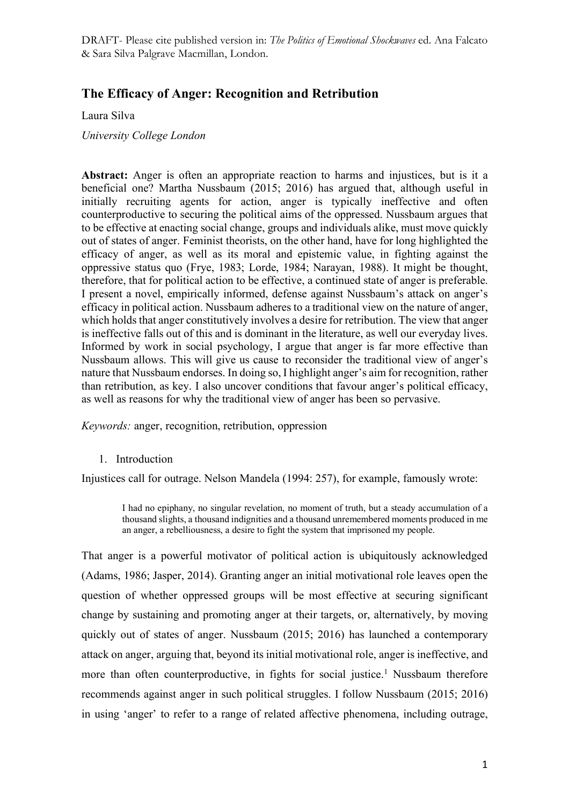# **The Efficacy of Anger: Recognition and Retribution**

Laura Silva

*University College London*

**Abstract:** Anger is often an appropriate reaction to harms and injustices, but is it a beneficial one? Martha Nussbaum (2015; 2016) has argued that, although useful in initially recruiting agents for action, anger is typically ineffective and often counterproductive to securing the political aims of the oppressed. Nussbaum argues that to be effective at enacting social change, groups and individuals alike, must move quickly out of states of anger. Feminist theorists, on the other hand, have for long highlighted the efficacy of anger, as well as its moral and epistemic value, in fighting against the oppressive status quo (Frye, 1983; Lorde, 1984; Narayan, 1988). It might be thought, therefore, that for political action to be effective, a continued state of anger is preferable. I present a novel, empirically informed, defense against Nussbaum's attack on anger's efficacy in political action. Nussbaum adheres to a traditional view on the nature of anger, which holds that anger constitutively involves a desire for retribution. The view that anger is ineffective falls out of this and is dominant in the literature, as well our everyday lives. Informed by work in social psychology, I argue that anger is far more effective than Nussbaum allows. This will give us cause to reconsider the traditional view of anger's nature that Nussbaum endorses. In doing so, I highlight anger's aim for recognition, rather than retribution, as key. I also uncover conditions that favour anger's political efficacy, as well as reasons for why the traditional view of anger has been so pervasive.

*Keywords:* anger, recognition, retribution, oppression

1. Introduction

Injustices call for outrage. Nelson Mandela (1994: 257), for example, famously wrote:

I had no epiphany, no singular revelation, no moment of truth, but a steady accumulation of a thousand slights, a thousand indignities and a thousand unremembered moments produced in me an anger, a rebelliousness, a desire to fight the system that imprisoned my people.

That anger is a powerful motivator of political action is ubiquitously acknowledged (Adams, 1986; Jasper, 2014). Granting anger an initial motivational role leaves open the question of whether oppressed groups will be most effective at securing significant change by sustaining and promoting anger at their targets, or, alternatively, by moving quickly out of states of anger. Nussbaum (2015; 2016) has launched a contemporary attack on anger, arguing that, beyond its initial motivational role, anger is ineffective, and more than often counterproductive, in fights for social justice.<sup>1</sup> Nussbaum therefore recommends against anger in such political struggles. I follow Nussbaum (2015; 2016) in using 'anger' to refer to a range of related affective phenomena, including outrage,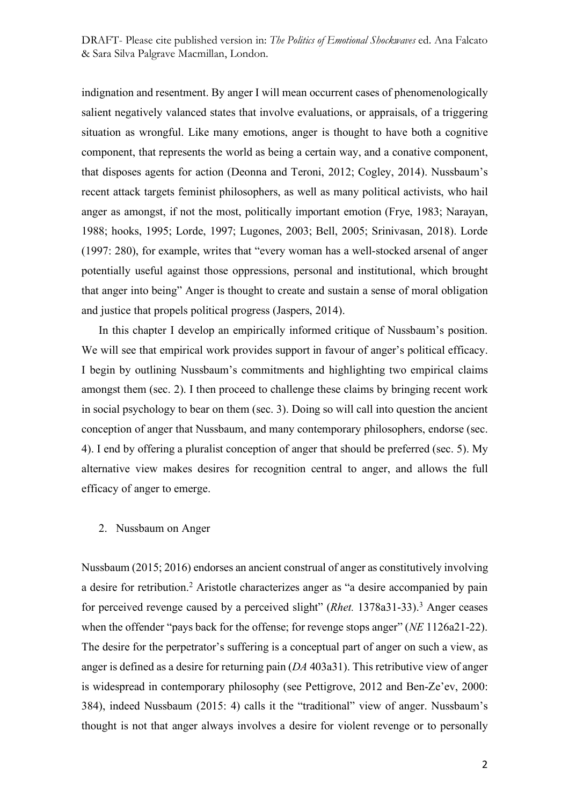indignation and resentment. By anger I will mean occurrent cases of phenomenologically salient negatively valanced states that involve evaluations, or appraisals, of a triggering situation as wrongful. Like many emotions, anger is thought to have both a cognitive component, that represents the world as being a certain way, and a conative component, that disposes agents for action (Deonna and Teroni, 2012; Cogley, 2014). Nussbaum's recent attack targets feminist philosophers, as well as many political activists, who hail anger as amongst, if not the most, politically important emotion (Frye, 1983; Narayan, 1988; hooks, 1995; Lorde, 1997; Lugones, 2003; Bell, 2005; Srinivasan, 2018). Lorde (1997: 280), for example, writes that "every woman has a well-stocked arsenal of anger potentially useful against those oppressions, personal and institutional, which brought that anger into being" Anger is thought to create and sustain a sense of moral obligation and justice that propels political progress (Jaspers, 2014).

In this chapter I develop an empirically informed critique of Nussbaum's position. We will see that empirical work provides support in favour of anger's political efficacy. I begin by outlining Nussbaum's commitments and highlighting two empirical claims amongst them (sec. 2). I then proceed to challenge these claims by bringing recent work in social psychology to bear on them (sec. 3). Doing so will call into question the ancient conception of anger that Nussbaum, and many contemporary philosophers, endorse (sec. 4). I end by offering a pluralist conception of anger that should be preferred (sec. 5). My alternative view makes desires for recognition central to anger, and allows the full efficacy of anger to emerge.

#### 2. Nussbaum on Anger

Nussbaum (2015; 2016) endorses an ancient construal of anger as constitutively involving a desire for retribution.<sup>2</sup> Aristotle characterizes anger as "a desire accompanied by pain for perceived revenge caused by a perceived slight" (*Rhet.* 1378a31-33).3 Anger ceases when the offender "pays back for the offense; for revenge stops anger" (*NE* 1126a21-22). The desire for the perpetrator's suffering is a conceptual part of anger on such a view, as anger is defined as a desire for returning pain (*DA* 403a31). This retributive view of anger is widespread in contemporary philosophy (see Pettigrove, 2012 and Ben-Ze'ev, 2000: 384), indeed Nussbaum (2015: 4) calls it the "traditional" view of anger. Nussbaum's thought is not that anger always involves a desire for violent revenge or to personally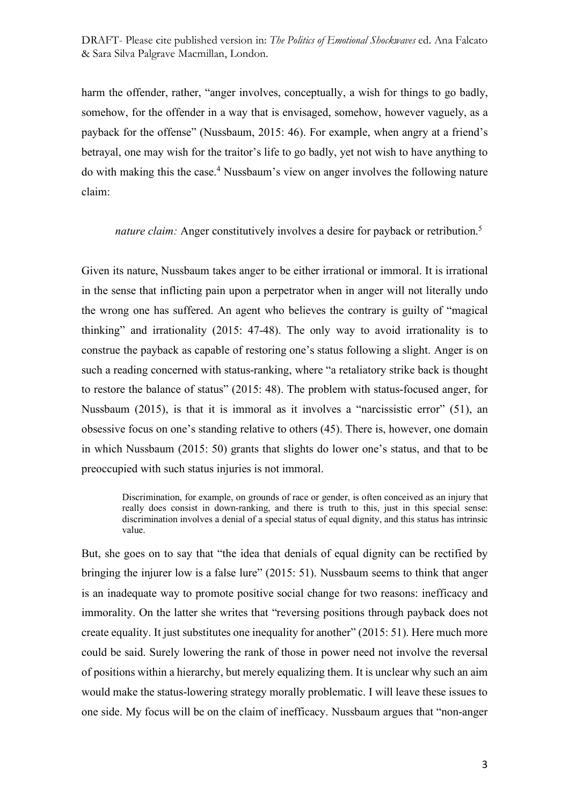harm the offender, rather, "anger involves, conceptually, a wish for things to go badly, somehow, for the offender in a way that is envisaged, somehow, however vaguely, as a payback for the offense" (Nussbaum, 2015: 46). For example, when angry at a friend's betrayal, one may wish for the traitor's life to go badly, yet not wish to have anything to do with making this the case.4 Nussbaum's view on anger involves the following nature claim:

*nature claim:* Anger constitutively involves a desire for payback or retribution.<sup>5</sup>

Given its nature, Nussbaum takes anger to be either irrational or immoral. It is irrational in the sense that inflicting pain upon a perpetrator when in anger will not literally undo the wrong one has suffered. An agent who believes the contrary is guilty of "magical thinking" and irrationality (2015: 47-48). The only way to avoid irrationality is to construe the payback as capable of restoring one's status following a slight. Anger is on such a reading concerned with status-ranking, where "a retaliatory strike back is thought to restore the balance of status" (2015: 48). The problem with status-focused anger, for Nussbaum (2015), is that it is immoral as it involves a "narcissistic error" (51), an obsessive focus on one's standing relative to others (45). There is, however, one domain in which Nussbaum (2015: 50) grants that slights do lower one's status, and that to be preoccupied with such status injuries is not immoral.

Discrimination, for example, on grounds of race or gender, is often conceived as an injury that really does consist in down-ranking, and there is truth to this, just in this special sense: discrimination involves a denial of a special status of equal dignity, and this status has intrinsic value.

But, she goes on to say that "the idea that denials of equal dignity can be rectified by bringing the injurer low is a false lure" (2015: 51). Nussbaum seems to think that anger is an inadequate way to promote positive social change for two reasons: inefficacy and immorality. On the latter she writes that "reversing positions through payback does not create equality. It just substitutes one inequality for another" (2015: 51). Here much more could be said. Surely lowering the rank of those in power need not involve the reversal of positions within a hierarchy, but merely equalizing them. It is unclear why such an aim would make the status-lowering strategy morally problematic. I will leave these issues to one side. My focus will be on the claim of inefficacy. Nussbaum argues that "non-anger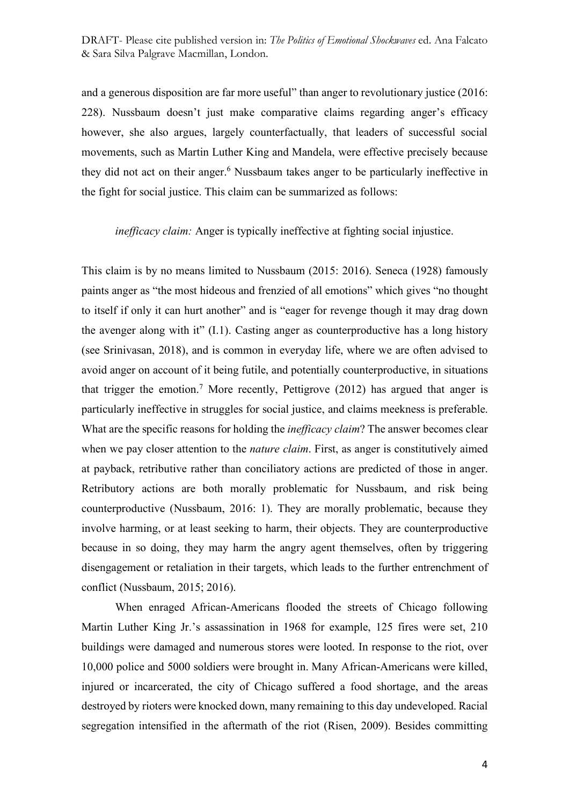and a generous disposition are far more useful" than anger to revolutionary justice (2016: 228). Nussbaum doesn't just make comparative claims regarding anger's efficacy however, she also argues, largely counterfactually, that leaders of successful social movements, such as Martin Luther King and Mandela, were effective precisely because they did not act on their anger.6 Nussbaum takes anger to be particularly ineffective in the fight for social justice. This claim can be summarized as follows:

*inefficacy claim:* Anger is typically ineffective at fighting social injustice.

This claim is by no means limited to Nussbaum (2015: 2016). Seneca (1928) famously paints anger as "the most hideous and frenzied of all emotions" which gives "no thought to itself if only it can hurt another" and is "eager for revenge though it may drag down the avenger along with it" (I.1). Casting anger as counterproductive has a long history (see Srinivasan, 2018), and is common in everyday life, where we are often advised to avoid anger on account of it being futile, and potentially counterproductive, in situations that trigger the emotion. <sup>7</sup> More recently, Pettigrove (2012) has argued that anger is particularly ineffective in struggles for social justice, and claims meekness is preferable. What are the specific reasons for holding the *inefficacy claim*? The answer becomes clear when we pay closer attention to the *nature claim*. First, as anger is constitutively aimed at payback, retributive rather than conciliatory actions are predicted of those in anger. Retributory actions are both morally problematic for Nussbaum, and risk being counterproductive (Nussbaum, 2016: 1). They are morally problematic, because they involve harming, or at least seeking to harm, their objects. They are counterproductive because in so doing, they may harm the angry agent themselves, often by triggering disengagement or retaliation in their targets, which leads to the further entrenchment of conflict (Nussbaum, 2015; 2016).

When enraged African-Americans flooded the streets of Chicago following Martin Luther King Jr.'s assassination in 1968 for example, 125 fires were set, 210 buildings were damaged and numerous stores were looted. In response to the riot, over 10,000 police and 5000 soldiers were brought in. Many African-Americans were killed, injured or incarcerated, the city of Chicago suffered a food shortage, and the areas destroyed by rioters were knocked down, many remaining to this day undeveloped. Racial segregation intensified in the aftermath of the riot (Risen, 2009). Besides committing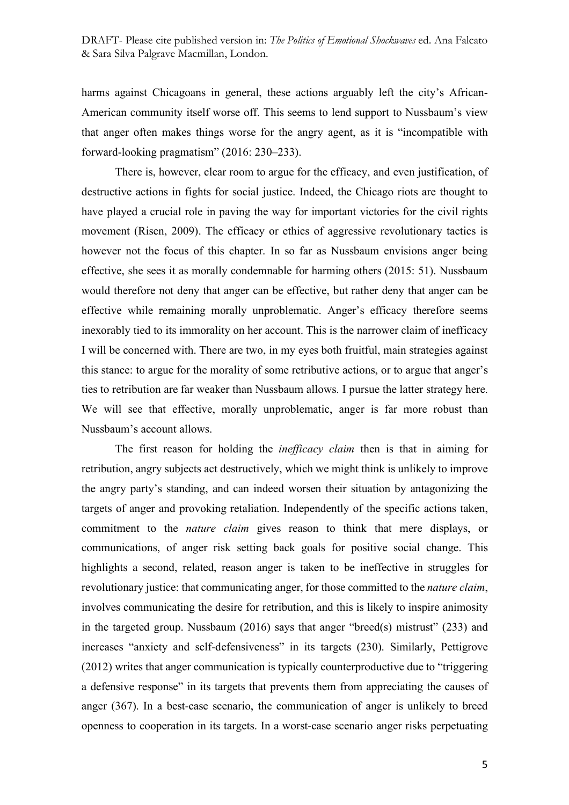harms against Chicagoans in general, these actions arguably left the city's African-American community itself worse off. This seems to lend support to Nussbaum's view that anger often makes things worse for the angry agent, as it is "incompatible with forward-looking pragmatism" (2016: 230–233).

There is, however, clear room to argue for the efficacy, and even justification, of destructive actions in fights for social justice. Indeed, the Chicago riots are thought to have played a crucial role in paving the way for important victories for the civil rights movement (Risen, 2009). The efficacy or ethics of aggressive revolutionary tactics is however not the focus of this chapter. In so far as Nussbaum envisions anger being effective, she sees it as morally condemnable for harming others (2015: 51). Nussbaum would therefore not deny that anger can be effective, but rather deny that anger can be effective while remaining morally unproblematic. Anger's efficacy therefore seems inexorably tied to its immorality on her account. This is the narrower claim of inefficacy I will be concerned with. There are two, in my eyes both fruitful, main strategies against this stance: to argue for the morality of some retributive actions, or to argue that anger's ties to retribution are far weaker than Nussbaum allows. I pursue the latter strategy here. We will see that effective, morally unproblematic, anger is far more robust than Nussbaum's account allows.

The first reason for holding the *inefficacy claim* then is that in aiming for retribution, angry subjects act destructively, which we might think is unlikely to improve the angry party's standing, and can indeed worsen their situation by antagonizing the targets of anger and provoking retaliation. Independently of the specific actions taken, commitment to the *nature claim* gives reason to think that mere displays, or communications, of anger risk setting back goals for positive social change. This highlights a second, related, reason anger is taken to be ineffective in struggles for revolutionary justice: that communicating anger, for those committed to the *nature claim*, involves communicating the desire for retribution, and this is likely to inspire animosity in the targeted group. Nussbaum (2016) says that anger "breed(s) mistrust" (233) and increases "anxiety and self-defensiveness" in its targets (230). Similarly, Pettigrove (2012) writes that anger communication is typically counterproductive due to "triggering a defensive response" in its targets that prevents them from appreciating the causes of anger (367). In a best-case scenario, the communication of anger is unlikely to breed openness to cooperation in its targets. In a worst-case scenario anger risks perpetuating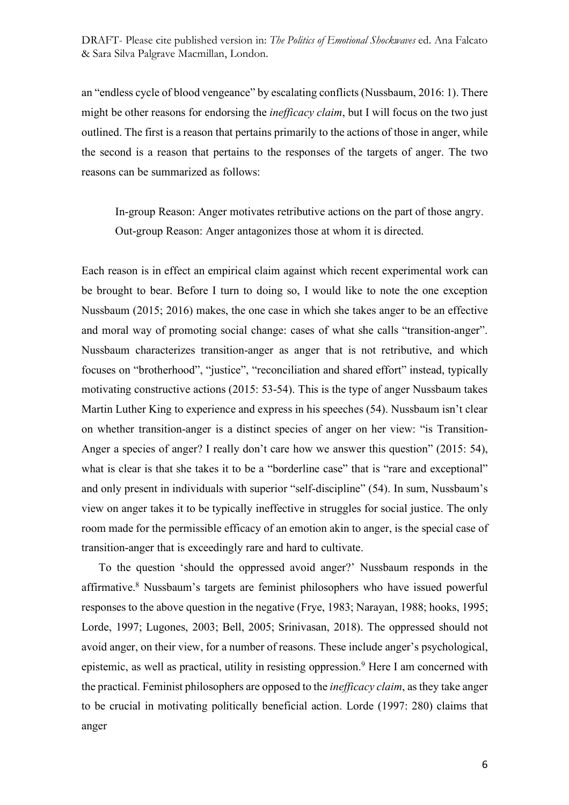an "endless cycle of blood vengeance" by escalating conflicts (Nussbaum, 2016: 1). There might be other reasons for endorsing the *inefficacy claim*, but I will focus on the two just outlined. The first is a reason that pertains primarily to the actions of those in anger, while the second is a reason that pertains to the responses of the targets of anger. The two reasons can be summarized as follows:

In-group Reason: Anger motivates retributive actions on the part of those angry. Out-group Reason: Anger antagonizes those at whom it is directed.

Each reason is in effect an empirical claim against which recent experimental work can be brought to bear. Before I turn to doing so, I would like to note the one exception Nussbaum (2015; 2016) makes, the one case in which she takes anger to be an effective and moral way of promoting social change: cases of what she calls "transition-anger". Nussbaum characterizes transition-anger as anger that is not retributive, and which focuses on "brotherhood", "justice", "reconciliation and shared effort" instead, typically motivating constructive actions (2015: 53-54). This is the type of anger Nussbaum takes Martin Luther King to experience and express in his speeches (54). Nussbaum isn't clear on whether transition-anger is a distinct species of anger on her view: "is Transition-Anger a species of anger? I really don't care how we answer this question" (2015: 54), what is clear is that she takes it to be a "borderline case" that is "rare and exceptional" and only present in individuals with superior "self-discipline" (54). In sum, Nussbaum's view on anger takes it to be typically ineffective in struggles for social justice. The only room made for the permissible efficacy of an emotion akin to anger, is the special case of transition-anger that is exceedingly rare and hard to cultivate.

To the question 'should the oppressed avoid anger?' Nussbaum responds in the affirmative.8 Nussbaum's targets are feminist philosophers who have issued powerful responses to the above question in the negative (Frye, 1983; Narayan, 1988; hooks, 1995; Lorde, 1997; Lugones, 2003; Bell, 2005; Srinivasan, 2018). The oppressed should not avoid anger, on their view, for a number of reasons. These include anger's psychological, epistemic, as well as practical, utility in resisting oppression.<sup>9</sup> Here I am concerned with the practical. Feminist philosophers are opposed to the *inefficacy claim*, as they take anger to be crucial in motivating politically beneficial action. Lorde (1997: 280) claims that anger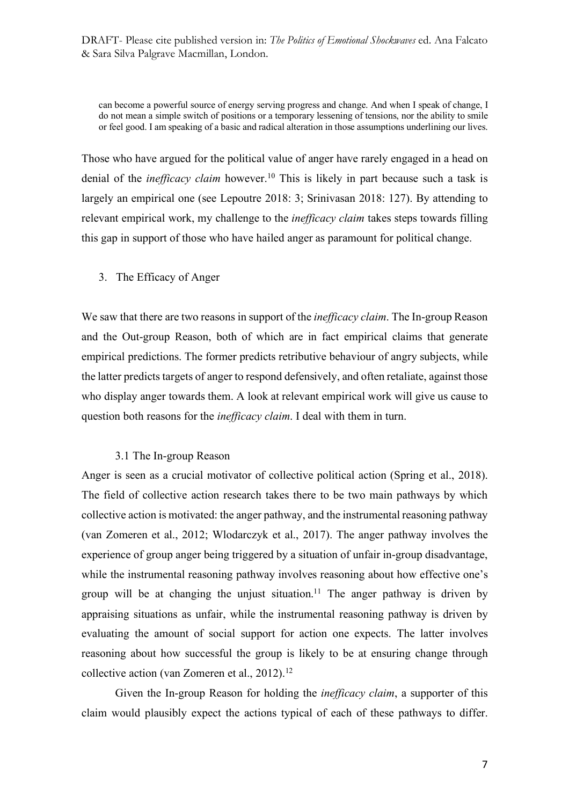can become a powerful source of energy serving progress and change. And when I speak of change, I do not mean a simple switch of positions or a temporary lessening of tensions, nor the ability to smile or feel good. I am speaking of a basic and radical alteration in those assumptions underlining our lives.

Those who have argued for the political value of anger have rarely engaged in a head on denial of the *inefficacy claim* however.<sup>10</sup> This is likely in part because such a task is largely an empirical one (see Lepoutre 2018: 3; Srinivasan 2018: 127). By attending to relevant empirical work, my challenge to the *inefficacy claim* takes steps towards filling this gap in support of those who have hailed anger as paramount for political change.

3. The Efficacy of Anger

We saw that there are two reasons in support of the *inefficacy claim*. The In-group Reason and the Out-group Reason, both of which are in fact empirical claims that generate empirical predictions. The former predicts retributive behaviour of angry subjects, while the latter predicts targets of anger to respond defensively, and often retaliate, against those who display anger towards them. A look at relevant empirical work will give us cause to question both reasons for the *inefficacy claim*. I deal with them in turn.

### 3.1 The In-group Reason

Anger is seen as a crucial motivator of collective political action (Spring et al., 2018). The field of collective action research takes there to be two main pathways by which collective action is motivated: the anger pathway, and the instrumental reasoning pathway (van Zomeren et al., 2012; Wlodarczyk et al., 2017). The anger pathway involves the experience of group anger being triggered by a situation of unfair in-group disadvantage, while the instrumental reasoning pathway involves reasoning about how effective one's group will be at changing the unjust situation.<sup>11</sup> The anger pathway is driven by appraising situations as unfair, while the instrumental reasoning pathway is driven by evaluating the amount of social support for action one expects. The latter involves reasoning about how successful the group is likely to be at ensuring change through collective action (van Zomeren et al.,  $2012$ ).<sup>12</sup>

Given the In-group Reason for holding the *inefficacy claim*, a supporter of this claim would plausibly expect the actions typical of each of these pathways to differ.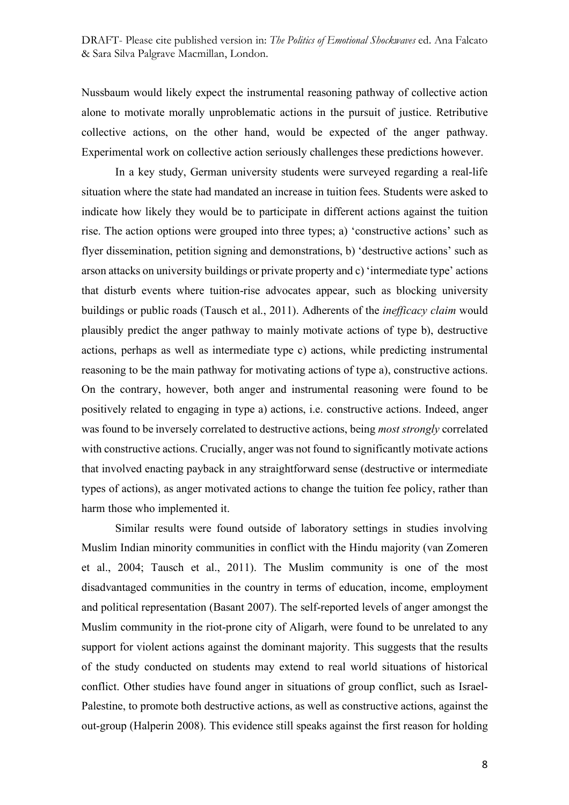Nussbaum would likely expect the instrumental reasoning pathway of collective action alone to motivate morally unproblematic actions in the pursuit of justice. Retributive collective actions, on the other hand, would be expected of the anger pathway. Experimental work on collective action seriously challenges these predictions however.

In a key study, German university students were surveyed regarding a real-life situation where the state had mandated an increase in tuition fees. Students were asked to indicate how likely they would be to participate in different actions against the tuition rise. The action options were grouped into three types; a) 'constructive actions' such as flyer dissemination, petition signing and demonstrations, b) 'destructive actions' such as arson attacks on university buildings or private property and c) 'intermediate type' actions that disturb events where tuition-rise advocates appear, such as blocking university buildings or public roads (Tausch et al., 2011). Adherents of the *inefficacy claim* would plausibly predict the anger pathway to mainly motivate actions of type b), destructive actions, perhaps as well as intermediate type c) actions, while predicting instrumental reasoning to be the main pathway for motivating actions of type a), constructive actions. On the contrary, however, both anger and instrumental reasoning were found to be positively related to engaging in type a) actions, i.e. constructive actions. Indeed, anger was found to be inversely correlated to destructive actions, being *most strongly* correlated with constructive actions. Crucially, anger was not found to significantly motivate actions that involved enacting payback in any straightforward sense (destructive or intermediate types of actions), as anger motivated actions to change the tuition fee policy, rather than harm those who implemented it.

Similar results were found outside of laboratory settings in studies involving Muslim Indian minority communities in conflict with the Hindu majority (van Zomeren et al., 2004; Tausch et al., 2011). The Muslim community is one of the most disadvantaged communities in the country in terms of education, income, employment and political representation (Basant 2007). The self-reported levels of anger amongst the Muslim community in the riot-prone city of Aligarh, were found to be unrelated to any support for violent actions against the dominant majority. This suggests that the results of the study conducted on students may extend to real world situations of historical conflict. Other studies have found anger in situations of group conflict, such as Israel-Palestine, to promote both destructive actions, as well as constructive actions, against the out-group (Halperin 2008). This evidence still speaks against the first reason for holding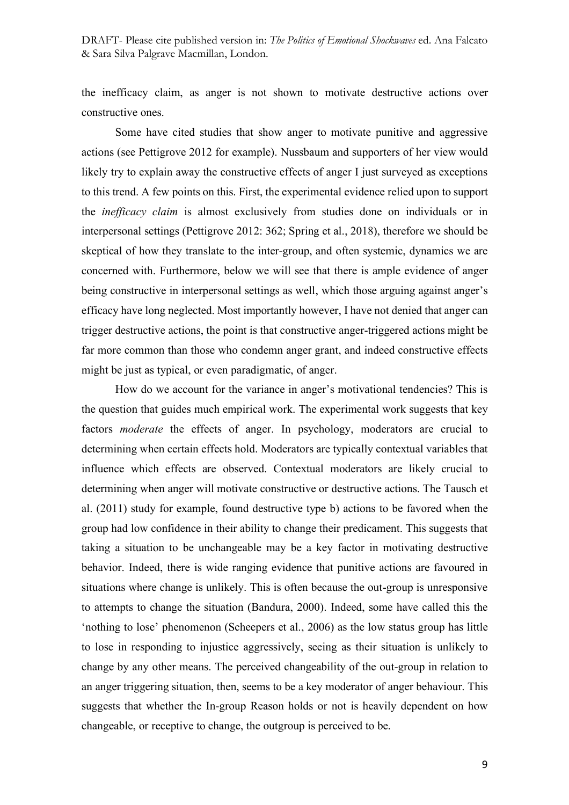the inefficacy claim, as anger is not shown to motivate destructive actions over constructive ones.

Some have cited studies that show anger to motivate punitive and aggressive actions (see Pettigrove 2012 for example). Nussbaum and supporters of her view would likely try to explain away the constructive effects of anger I just surveyed as exceptions to this trend. A few points on this. First, the experimental evidence relied upon to support the *inefficacy claim* is almost exclusively from studies done on individuals or in interpersonal settings (Pettigrove 2012: 362; Spring et al., 2018), therefore we should be skeptical of how they translate to the inter-group, and often systemic, dynamics we are concerned with. Furthermore, below we will see that there is ample evidence of anger being constructive in interpersonal settings as well, which those arguing against anger's efficacy have long neglected. Most importantly however, I have not denied that anger can trigger destructive actions, the point is that constructive anger-triggered actions might be far more common than those who condemn anger grant, and indeed constructive effects might be just as typical, or even paradigmatic, of anger.

How do we account for the variance in anger's motivational tendencies? This is the question that guides much empirical work. The experimental work suggests that key factors *moderate* the effects of anger. In psychology, moderators are crucial to determining when certain effects hold. Moderators are typically contextual variables that influence which effects are observed. Contextual moderators are likely crucial to determining when anger will motivate constructive or destructive actions. The Tausch et al. (2011) study for example, found destructive type b) actions to be favored when the group had low confidence in their ability to change their predicament. This suggests that taking a situation to be unchangeable may be a key factor in motivating destructive behavior. Indeed, there is wide ranging evidence that punitive actions are favoured in situations where change is unlikely. This is often because the out-group is unresponsive to attempts to change the situation (Bandura, 2000). Indeed, some have called this the 'nothing to lose' phenomenon (Scheepers et al., 2006) as the low status group has little to lose in responding to injustice aggressively, seeing as their situation is unlikely to change by any other means. The perceived changeability of the out-group in relation to an anger triggering situation, then, seems to be a key moderator of anger behaviour. This suggests that whether the In-group Reason holds or not is heavily dependent on how changeable, or receptive to change, the outgroup is perceived to be.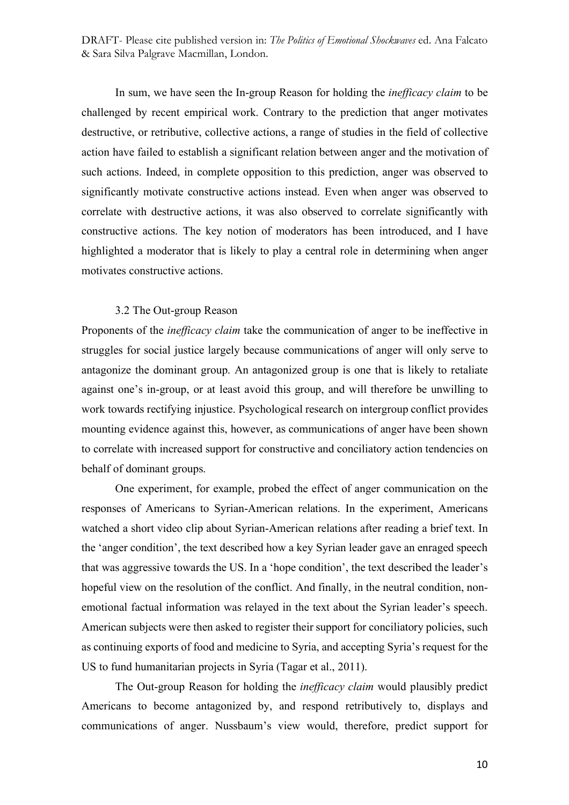In sum, we have seen the In-group Reason for holding the *inefficacy claim* to be challenged by recent empirical work. Contrary to the prediction that anger motivates destructive, or retributive, collective actions, a range of studies in the field of collective action have failed to establish a significant relation between anger and the motivation of such actions. Indeed, in complete opposition to this prediction, anger was observed to significantly motivate constructive actions instead. Even when anger was observed to correlate with destructive actions, it was also observed to correlate significantly with constructive actions. The key notion of moderators has been introduced, and I have highlighted a moderator that is likely to play a central role in determining when anger motivates constructive actions.

## 3.2 The Out-group Reason

Proponents of the *inefficacy claim* take the communication of anger to be ineffective in struggles for social justice largely because communications of anger will only serve to antagonize the dominant group. An antagonized group is one that is likely to retaliate against one's in-group, or at least avoid this group, and will therefore be unwilling to work towards rectifying injustice. Psychological research on intergroup conflict provides mounting evidence against this, however, as communications of anger have been shown to correlate with increased support for constructive and conciliatory action tendencies on behalf of dominant groups.

One experiment, for example, probed the effect of anger communication on the responses of Americans to Syrian-American relations. In the experiment, Americans watched a short video clip about Syrian-American relations after reading a brief text. In the 'anger condition', the text described how a key Syrian leader gave an enraged speech that was aggressive towards the US. In a 'hope condition', the text described the leader's hopeful view on the resolution of the conflict. And finally, in the neutral condition, nonemotional factual information was relayed in the text about the Syrian leader's speech. American subjects were then asked to register their support for conciliatory policies, such as continuing exports of food and medicine to Syria, and accepting Syria's request for the US to fund humanitarian projects in Syria (Tagar et al., 2011).

The Out-group Reason for holding the *inefficacy claim* would plausibly predict Americans to become antagonized by, and respond retributively to, displays and communications of anger. Nussbaum's view would, therefore, predict support for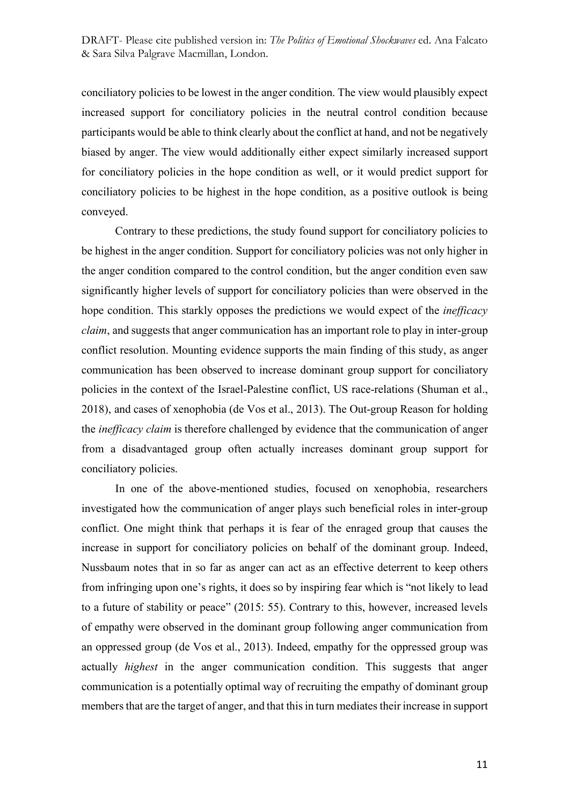conciliatory policies to be lowest in the anger condition. The view would plausibly expect increased support for conciliatory policies in the neutral control condition because participants would be able to think clearly about the conflict at hand, and not be negatively biased by anger. The view would additionally either expect similarly increased support for conciliatory policies in the hope condition as well, or it would predict support for conciliatory policies to be highest in the hope condition, as a positive outlook is being conveyed.

Contrary to these predictions, the study found support for conciliatory policies to be highest in the anger condition. Support for conciliatory policies was not only higher in the anger condition compared to the control condition, but the anger condition even saw significantly higher levels of support for conciliatory policies than were observed in the hope condition. This starkly opposes the predictions we would expect of the *inefficacy claim*, and suggests that anger communication has an important role to play in inter-group conflict resolution. Mounting evidence supports the main finding of this study, as anger communication has been observed to increase dominant group support for conciliatory policies in the context of the Israel-Palestine conflict, US race-relations (Shuman et al., 2018), and cases of xenophobia (de Vos et al., 2013). The Out-group Reason for holding the *inefficacy claim* is therefore challenged by evidence that the communication of anger from a disadvantaged group often actually increases dominant group support for conciliatory policies.

In one of the above-mentioned studies, focused on xenophobia, researchers investigated how the communication of anger plays such beneficial roles in inter-group conflict. One might think that perhaps it is fear of the enraged group that causes the increase in support for conciliatory policies on behalf of the dominant group. Indeed, Nussbaum notes that in so far as anger can act as an effective deterrent to keep others from infringing upon one's rights, it does so by inspiring fear which is "not likely to lead to a future of stability or peace" (2015: 55). Contrary to this, however, increased levels of empathy were observed in the dominant group following anger communication from an oppressed group (de Vos et al., 2013). Indeed, empathy for the oppressed group was actually *highest* in the anger communication condition. This suggests that anger communication is a potentially optimal way of recruiting the empathy of dominant group members that are the target of anger, and that this in turn mediates their increase in support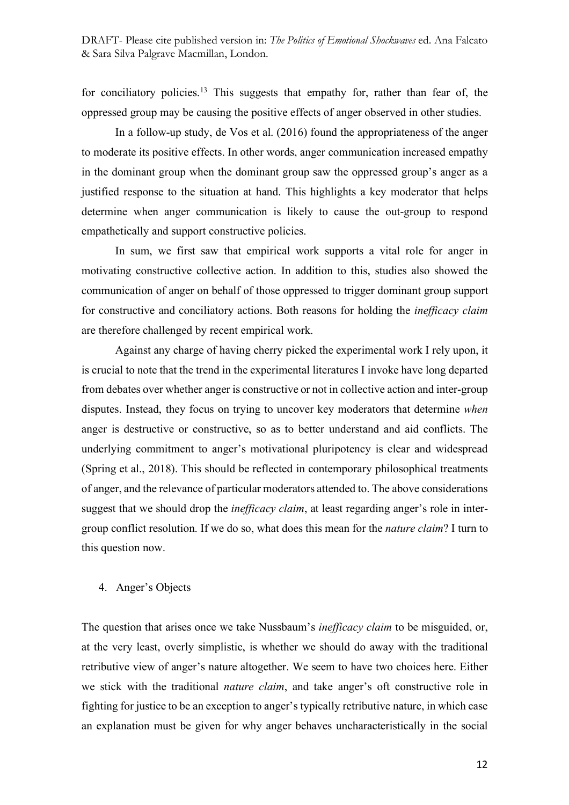for conciliatory policies.<sup>13</sup> This suggests that empathy for, rather than fear of, the oppressed group may be causing the positive effects of anger observed in other studies.

In a follow-up study, de Vos et al. (2016) found the appropriateness of the anger to moderate its positive effects. In other words, anger communication increased empathy in the dominant group when the dominant group saw the oppressed group's anger as a justified response to the situation at hand. This highlights a key moderator that helps determine when anger communication is likely to cause the out-group to respond empathetically and support constructive policies.

In sum, we first saw that empirical work supports a vital role for anger in motivating constructive collective action. In addition to this, studies also showed the communication of anger on behalf of those oppressed to trigger dominant group support for constructive and conciliatory actions. Both reasons for holding the *inefficacy claim* are therefore challenged by recent empirical work.

Against any charge of having cherry picked the experimental work I rely upon, it is crucial to note that the trend in the experimental literatures I invoke have long departed from debates over whether anger is constructive or not in collective action and inter-group disputes. Instead, they focus on trying to uncover key moderators that determine *when* anger is destructive or constructive, so as to better understand and aid conflicts. The underlying commitment to anger's motivational pluripotency is clear and widespread (Spring et al., 2018). This should be reflected in contemporary philosophical treatments of anger, and the relevance of particular moderators attended to. The above considerations suggest that we should drop the *inefficacy claim*, at least regarding anger's role in intergroup conflict resolution. If we do so, what does this mean for the *nature claim*? I turn to this question now.

## 4. Anger's Objects

The question that arises once we take Nussbaum's *inefficacy claim* to be misguided, or, at the very least, overly simplistic, is whether we should do away with the traditional retributive view of anger's nature altogether. We seem to have two choices here. Either we stick with the traditional *nature claim*, and take anger's oft constructive role in fighting for justice to be an exception to anger's typically retributive nature, in which case an explanation must be given for why anger behaves uncharacteristically in the social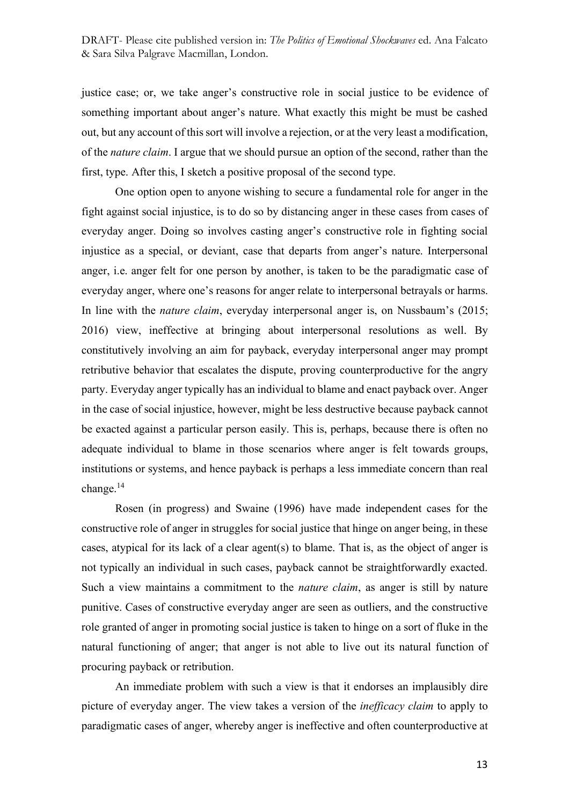justice case; or, we take anger's constructive role in social justice to be evidence of something important about anger's nature. What exactly this might be must be cashed out, but any account of this sort will involve a rejection, or at the very least a modification, of the *nature claim*. I argue that we should pursue an option of the second, rather than the first, type. After this, I sketch a positive proposal of the second type.

One option open to anyone wishing to secure a fundamental role for anger in the fight against social injustice, is to do so by distancing anger in these cases from cases of everyday anger. Doing so involves casting anger's constructive role in fighting social injustice as a special, or deviant, case that departs from anger's nature. Interpersonal anger, i.e. anger felt for one person by another, is taken to be the paradigmatic case of everyday anger, where one's reasons for anger relate to interpersonal betrayals or harms. In line with the *nature claim*, everyday interpersonal anger is, on Nussbaum's (2015; 2016) view, ineffective at bringing about interpersonal resolutions as well. By constitutively involving an aim for payback, everyday interpersonal anger may prompt retributive behavior that escalates the dispute, proving counterproductive for the angry party. Everyday anger typically has an individual to blame and enact payback over. Anger in the case of social injustice, however, might be less destructive because payback cannot be exacted against a particular person easily. This is, perhaps, because there is often no adequate individual to blame in those scenarios where anger is felt towards groups, institutions or systems, and hence payback is perhaps a less immediate concern than real change.14

Rosen (in progress) and Swaine (1996) have made independent cases for the constructive role of anger in struggles for social justice that hinge on anger being, in these cases, atypical for its lack of a clear agent(s) to blame. That is, as the object of anger is not typically an individual in such cases, payback cannot be straightforwardly exacted. Such a view maintains a commitment to the *nature claim*, as anger is still by nature punitive. Cases of constructive everyday anger are seen as outliers, and the constructive role granted of anger in promoting social justice is taken to hinge on a sort of fluke in the natural functioning of anger; that anger is not able to live out its natural function of procuring payback or retribution.

An immediate problem with such a view is that it endorses an implausibly dire picture of everyday anger. The view takes a version of the *inefficacy claim* to apply to paradigmatic cases of anger, whereby anger is ineffective and often counterproductive at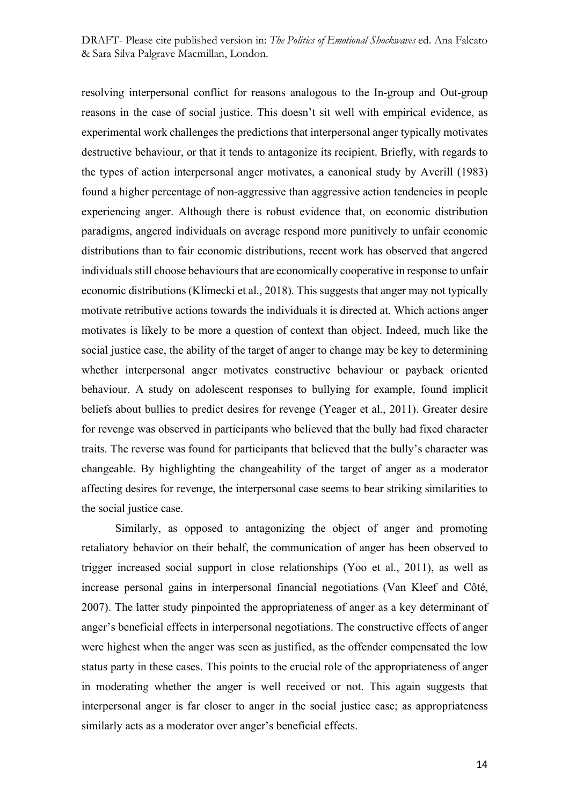resolving interpersonal conflict for reasons analogous to the In-group and Out-group reasons in the case of social justice. This doesn't sit well with empirical evidence, as experimental work challenges the predictions that interpersonal anger typically motivates destructive behaviour, or that it tends to antagonize its recipient. Briefly, with regards to the types of action interpersonal anger motivates, a canonical study by Averill (1983) found a higher percentage of non-aggressive than aggressive action tendencies in people experiencing anger. Although there is robust evidence that, on economic distribution paradigms, angered individuals on average respond more punitively to unfair economic distributions than to fair economic distributions, recent work has observed that angered individuals still choose behaviours that are economically cooperative in response to unfair economic distributions (Klimecki et al., 2018). This suggests that anger may not typically motivate retributive actions towards the individuals it is directed at. Which actions anger motivates is likely to be more a question of context than object. Indeed, much like the social justice case, the ability of the target of anger to change may be key to determining whether interpersonal anger motivates constructive behaviour or payback oriented behaviour. A study on adolescent responses to bullying for example, found implicit beliefs about bullies to predict desires for revenge (Yeager et al., 2011). Greater desire for revenge was observed in participants who believed that the bully had fixed character traits. The reverse was found for participants that believed that the bully's character was changeable. By highlighting the changeability of the target of anger as a moderator affecting desires for revenge, the interpersonal case seems to bear striking similarities to the social justice case.

Similarly, as opposed to antagonizing the object of anger and promoting retaliatory behavior on their behalf, the communication of anger has been observed to trigger increased social support in close relationships (Yoo et al., 2011), as well as increase personal gains in interpersonal financial negotiations (Van Kleef and Côté, 2007). The latter study pinpointed the appropriateness of anger as a key determinant of anger's beneficial effects in interpersonal negotiations. The constructive effects of anger were highest when the anger was seen as justified, as the offender compensated the low status party in these cases. This points to the crucial role of the appropriateness of anger in moderating whether the anger is well received or not. This again suggests that interpersonal anger is far closer to anger in the social justice case; as appropriateness similarly acts as a moderator over anger's beneficial effects.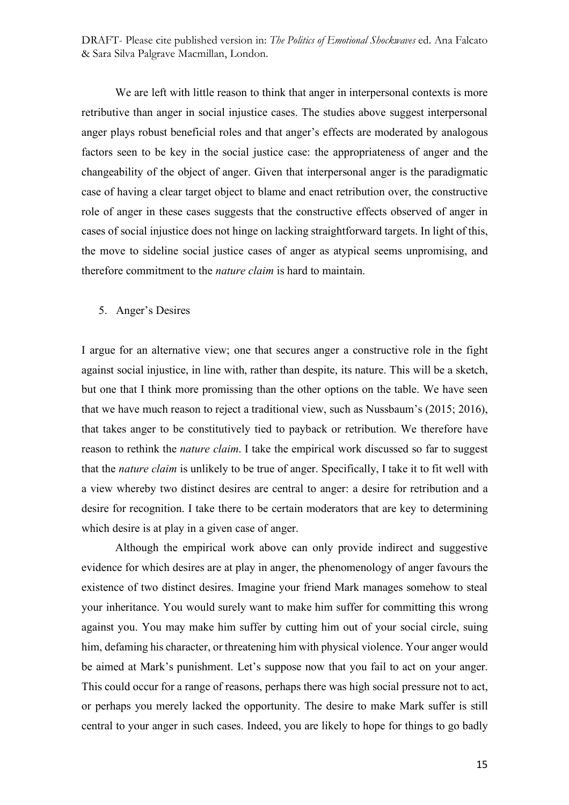We are left with little reason to think that anger in interpersonal contexts is more retributive than anger in social injustice cases. The studies above suggest interpersonal anger plays robust beneficial roles and that anger's effects are moderated by analogous factors seen to be key in the social justice case: the appropriateness of anger and the changeability of the object of anger. Given that interpersonal anger is the paradigmatic case of having a clear target object to blame and enact retribution over, the constructive role of anger in these cases suggests that the constructive effects observed of anger in cases of social injustice does not hinge on lacking straightforward targets. In light of this, the move to sideline social justice cases of anger as atypical seems unpromising, and therefore commitment to the *nature claim* is hard to maintain.

## 5. Anger's Desires

I argue for an alternative view; one that secures anger a constructive role in the fight against social injustice, in line with, rather than despite, its nature. This will be a sketch, but one that I think more promissing than the other options on the table. We have seen that we have much reason to reject a traditional view, such as Nussbaum's (2015; 2016), that takes anger to be constitutively tied to payback or retribution. We therefore have reason to rethink the *nature claim*. I take the empirical work discussed so far to suggest that the *nature claim* is unlikely to be true of anger. Specifically, I take it to fit well with a view whereby two distinct desires are central to anger: a desire for retribution and a desire for recognition. I take there to be certain moderators that are key to determining which desire is at play in a given case of anger.

Although the empirical work above can only provide indirect and suggestive evidence for which desires are at play in anger, the phenomenology of anger favours the existence of two distinct desires. Imagine your friend Mark manages somehow to steal your inheritance. You would surely want to make him suffer for committing this wrong against you. You may make him suffer by cutting him out of your social circle, suing him, defaming his character, or threatening him with physical violence. Your anger would be aimed at Mark's punishment. Let's suppose now that you fail to act on your anger. This could occur for a range of reasons, perhaps there was high social pressure not to act, or perhaps you merely lacked the opportunity. The desire to make Mark suffer is still central to your anger in such cases. Indeed, you are likely to hope for things to go badly

15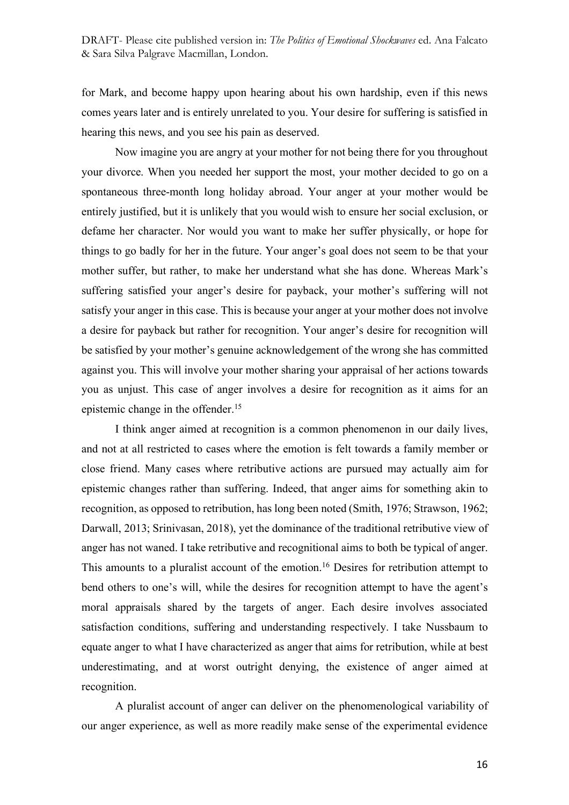for Mark, and become happy upon hearing about his own hardship, even if this news comes years later and is entirely unrelated to you. Your desire for suffering is satisfied in hearing this news, and you see his pain as deserved.

Now imagine you are angry at your mother for not being there for you throughout your divorce. When you needed her support the most, your mother decided to go on a spontaneous three-month long holiday abroad. Your anger at your mother would be entirely justified, but it is unlikely that you would wish to ensure her social exclusion, or defame her character. Nor would you want to make her suffer physically, or hope for things to go badly for her in the future. Your anger's goal does not seem to be that your mother suffer, but rather, to make her understand what she has done. Whereas Mark's suffering satisfied your anger's desire for payback, your mother's suffering will not satisfy your anger in this case. This is because your anger at your mother does not involve a desire for payback but rather for recognition. Your anger's desire for recognition will be satisfied by your mother's genuine acknowledgement of the wrong she has committed against you. This will involve your mother sharing your appraisal of her actions towards you as unjust. This case of anger involves a desire for recognition as it aims for an epistemic change in the offender.<sup>15</sup>

I think anger aimed at recognition is a common phenomenon in our daily lives, and not at all restricted to cases where the emotion is felt towards a family member or close friend. Many cases where retributive actions are pursued may actually aim for epistemic changes rather than suffering. Indeed, that anger aims for something akin to recognition, as opposed to retribution, has long been noted (Smith, 1976; Strawson, 1962; Darwall, 2013; Srinivasan, 2018), yet the dominance of the traditional retributive view of anger has not waned. I take retributive and recognitional aims to both be typical of anger. This amounts to a pluralist account of the emotion. <sup>16</sup> Desires for retribution attempt to bend others to one's will, while the desires for recognition attempt to have the agent's moral appraisals shared by the targets of anger. Each desire involves associated satisfaction conditions, suffering and understanding respectively. I take Nussbaum to equate anger to what I have characterized as anger that aims for retribution, while at best underestimating, and at worst outright denying, the existence of anger aimed at recognition.

A pluralist account of anger can deliver on the phenomenological variability of our anger experience, as well as more readily make sense of the experimental evidence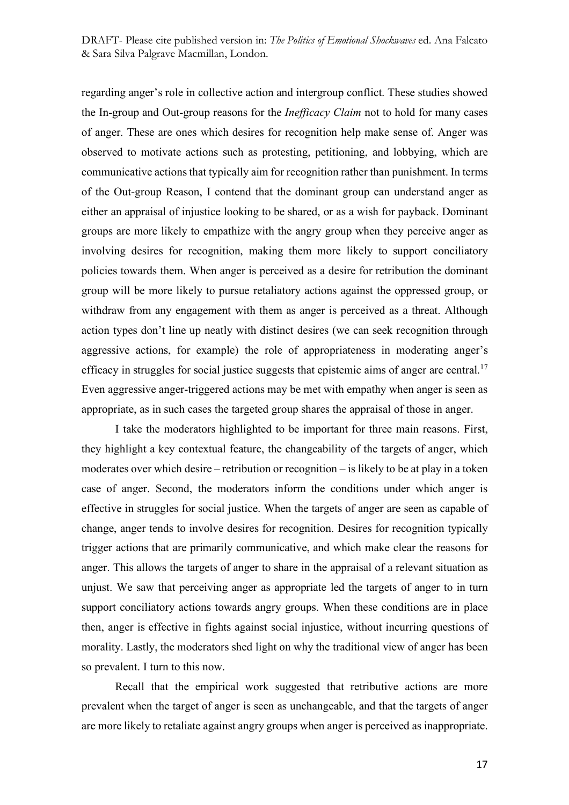regarding anger's role in collective action and intergroup conflict. These studies showed the In-group and Out-group reasons for the *Inefficacy Claim* not to hold for many cases of anger. These are ones which desires for recognition help make sense of. Anger was observed to motivate actions such as protesting, petitioning, and lobbying, which are communicative actions that typically aim for recognition rather than punishment. In terms of the Out-group Reason, I contend that the dominant group can understand anger as either an appraisal of injustice looking to be shared, or as a wish for payback. Dominant groups are more likely to empathize with the angry group when they perceive anger as involving desires for recognition, making them more likely to support conciliatory policies towards them. When anger is perceived as a desire for retribution the dominant group will be more likely to pursue retaliatory actions against the oppressed group, or withdraw from any engagement with them as anger is perceived as a threat. Although action types don't line up neatly with distinct desires (we can seek recognition through aggressive actions, for example) the role of appropriateness in moderating anger's efficacy in struggles for social justice suggests that epistemic aims of anger are central.<sup>17</sup> Even aggressive anger-triggered actions may be met with empathy when anger is seen as appropriate, as in such cases the targeted group shares the appraisal of those in anger.

I take the moderators highlighted to be important for three main reasons. First, they highlight a key contextual feature, the changeability of the targets of anger, which moderates over which desire – retribution or recognition – is likely to be at play in a token case of anger. Second, the moderators inform the conditions under which anger is effective in struggles for social justice. When the targets of anger are seen as capable of change, anger tends to involve desires for recognition. Desires for recognition typically trigger actions that are primarily communicative, and which make clear the reasons for anger. This allows the targets of anger to share in the appraisal of a relevant situation as unjust. We saw that perceiving anger as appropriate led the targets of anger to in turn support conciliatory actions towards angry groups. When these conditions are in place then, anger is effective in fights against social injustice, without incurring questions of morality. Lastly, the moderators shed light on why the traditional view of anger has been so prevalent. I turn to this now.

Recall that the empirical work suggested that retributive actions are more prevalent when the target of anger is seen as unchangeable, and that the targets of anger are more likely to retaliate against angry groups when anger is perceived as inappropriate.

17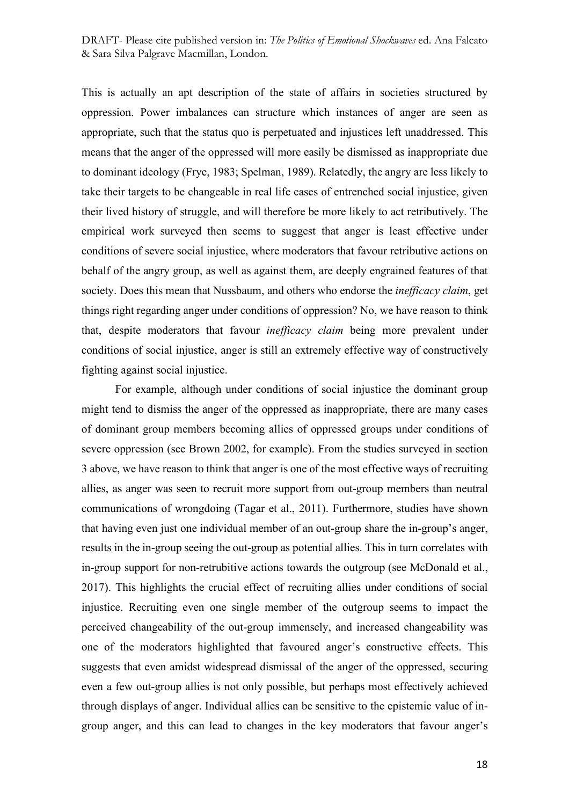This is actually an apt description of the state of affairs in societies structured by oppression. Power imbalances can structure which instances of anger are seen as appropriate, such that the status quo is perpetuated and injustices left unaddressed. This means that the anger of the oppressed will more easily be dismissed as inappropriate due to dominant ideology (Frye, 1983; Spelman, 1989). Relatedly, the angry are less likely to take their targets to be changeable in real life cases of entrenched social injustice, given their lived history of struggle, and will therefore be more likely to act retributively. The empirical work surveyed then seems to suggest that anger is least effective under conditions of severe social injustice, where moderators that favour retributive actions on behalf of the angry group, as well as against them, are deeply engrained features of that society. Does this mean that Nussbaum, and others who endorse the *inefficacy claim*, get things right regarding anger under conditions of oppression? No, we have reason to think that, despite moderators that favour *inefficacy claim* being more prevalent under conditions of social injustice, anger is still an extremely effective way of constructively fighting against social injustice.

For example, although under conditions of social injustice the dominant group might tend to dismiss the anger of the oppressed as inappropriate, there are many cases of dominant group members becoming allies of oppressed groups under conditions of severe oppression (see Brown 2002, for example). From the studies surveyed in section 3 above, we have reason to think that anger is one of the most effective ways of recruiting allies, as anger was seen to recruit more support from out-group members than neutral communications of wrongdoing (Tagar et al., 2011). Furthermore, studies have shown that having even just one individual member of an out-group share the in-group's anger, results in the in-group seeing the out-group as potential allies. This in turn correlates with in-group support for non-retrubitive actions towards the outgroup (see McDonald et al., 2017). This highlights the crucial effect of recruiting allies under conditions of social injustice. Recruiting even one single member of the outgroup seems to impact the perceived changeability of the out-group immensely, and increased changeability was one of the moderators highlighted that favoured anger's constructive effects. This suggests that even amidst widespread dismissal of the anger of the oppressed, securing even a few out-group allies is not only possible, but perhaps most effectively achieved through displays of anger. Individual allies can be sensitive to the epistemic value of ingroup anger, and this can lead to changes in the key moderators that favour anger's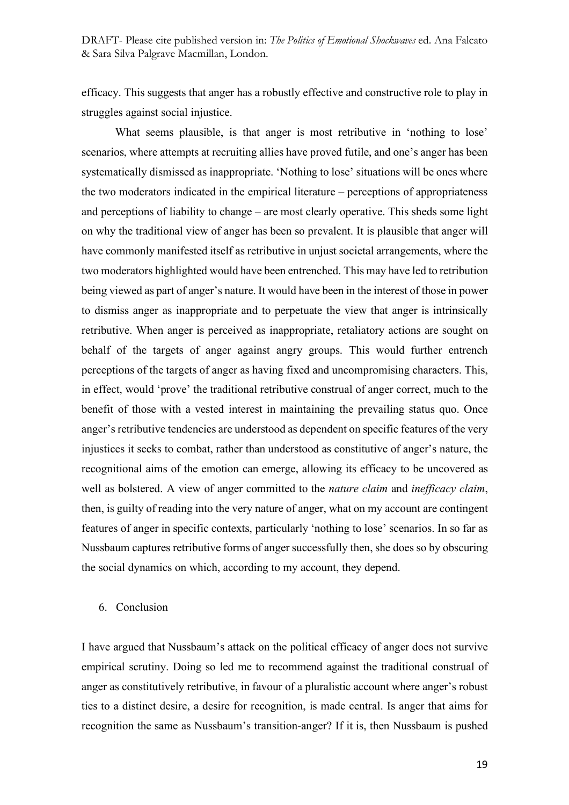efficacy. This suggests that anger has a robustly effective and constructive role to play in struggles against social injustice.

What seems plausible, is that anger is most retributive in 'nothing to lose' scenarios, where attempts at recruiting allies have proved futile, and one's anger has been systematically dismissed as inappropriate. 'Nothing to lose' situations will be ones where the two moderators indicated in the empirical literature – perceptions of appropriateness and perceptions of liability to change – are most clearly operative. This sheds some light on why the traditional view of anger has been so prevalent. It is plausible that anger will have commonly manifested itself as retributive in unjust societal arrangements, where the two moderators highlighted would have been entrenched. This may have led to retribution being viewed as part of anger's nature. It would have been in the interest of those in power to dismiss anger as inappropriate and to perpetuate the view that anger is intrinsically retributive. When anger is perceived as inappropriate, retaliatory actions are sought on behalf of the targets of anger against angry groups. This would further entrench perceptions of the targets of anger as having fixed and uncompromising characters. This, in effect, would 'prove' the traditional retributive construal of anger correct, much to the benefit of those with a vested interest in maintaining the prevailing status quo. Once anger's retributive tendencies are understood as dependent on specific features of the very injustices it seeks to combat, rather than understood as constitutive of anger's nature, the recognitional aims of the emotion can emerge, allowing its efficacy to be uncovered as well as bolstered. A view of anger committed to the *nature claim* and *inefficacy claim*, then, is guilty of reading into the very nature of anger, what on my account are contingent features of anger in specific contexts, particularly 'nothing to lose' scenarios. In so far as Nussbaum captures retributive forms of anger successfully then, she does so by obscuring the social dynamics on which, according to my account, they depend.

#### 6. Conclusion

I have argued that Nussbaum's attack on the political efficacy of anger does not survive empirical scrutiny. Doing so led me to recommend against the traditional construal of anger as constitutively retributive, in favour of a pluralistic account where anger's robust ties to a distinct desire, a desire for recognition, is made central. Is anger that aims for recognition the same as Nussbaum's transition-anger? If it is, then Nussbaum is pushed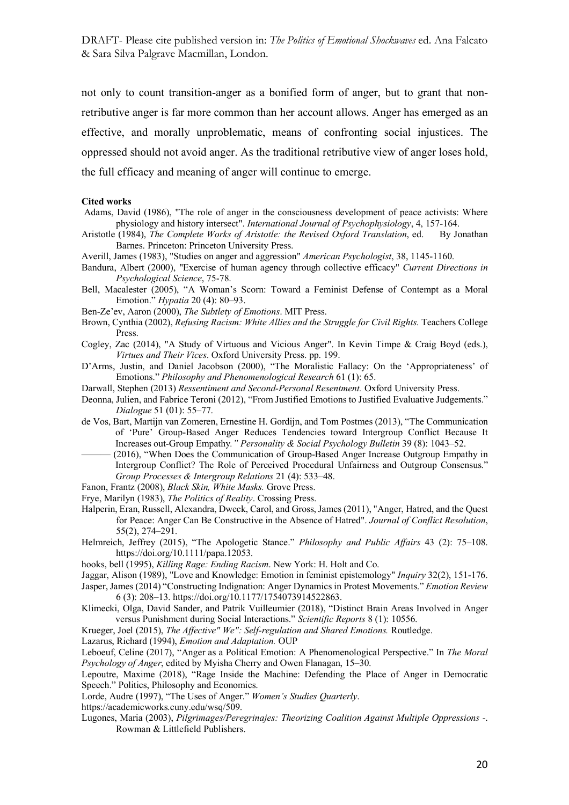not only to count transition-anger as a bonified form of anger, but to grant that nonretributive anger is far more common than her account allows. Anger has emerged as an effective, and morally unproblematic, means of confronting social injustices. The oppressed should not avoid anger. As the traditional retributive view of anger loses hold, the full efficacy and meaning of anger will continue to emerge.

#### **Cited works**

- Adams, David (1986), "The role of anger in the consciousness development of peace activists: Where physiology and history intersect". *International Journal of Psychophysiology*, 4, 157-164.
- Aristotle (1984), *The Complete Works of Aristotle: the Revised Oxford Translation*, ed. By Jonathan Barnes. Princeton: Princeton University Press.
- Averill, James (1983), "Studies on anger and aggression" *American Psychologist*, 38, 1145-1160.
- Bandura, Albert (2000), "Exercise of human agency through collective efficacy" *Current Directions in Psychological Science*, 75-78.
- Bell, Macalester (2005), "A Woman's Scorn: Toward a Feminist Defense of Contempt as a Moral Emotion." *Hypatia* 20 (4): 80–93.
- Ben-Ze'ev, Aaron (2000), *The Subtlety of Emotions*. MIT Press.
- Brown, Cynthia (2002), *Refusing Racism: White Allies and the Struggle for Civil Rights.* Teachers College Press.
- Cogley, Zac (2014), "A Study of Virtuous and Vicious Anger". In Kevin Timpe & Craig Boyd (eds.), *Virtues and Their Vices*. Oxford University Press. pp. 199.
- D'Arms, Justin, and Daniel Jacobson (2000), "The Moralistic Fallacy: On the 'Appropriateness' of Emotions." *Philosophy and Phenomenological Research* 61 (1): 65.
- Darwall, Stephen (2013) *Ressentiment and Second-Personal Resentment.* Oxford University Press.
- Deonna, Julien, and Fabrice Teroni (2012), "From Justified Emotions to Justified Evaluative Judgements." *Dialogue* 51 (01): 55–77.
- de Vos, Bart, Martijn van Zomeren, Ernestine H. Gordijn, and Tom Postmes (2013), "The Communication of 'Pure' Group-Based Anger Reduces Tendencies toward Intergroup Conflict Because It Increases out-Group Empathy*." Personality & Social Psychology Bulletin* 39 (8): 1043–52.
- (2016), "When Does the Communication of Group-Based Anger Increase Outgroup Empathy in Intergroup Conflict? The Role of Perceived Procedural Unfairness and Outgroup Consensus." *Group Processes & Intergroup Relations* 21 (4): 533–48.
- Fanon, Frantz (2008), *Black Skin, White Masks.* Grove Press.
- Frye, Marilyn (1983), *The Politics of Reality*. Crossing Press.
- Halperin, Eran, Russell, Alexandra, Dweck, Carol, and Gross, James (2011), "Anger, Hatred, and the Quest for Peace: Anger Can Be Constructive in the Absence of Hatred". *Journal of Conflict Resolution*, 55(2), 274–291.
- Helmreich, Jeffrey (2015), "The Apologetic Stance." *Philosophy and Public Affairs* 43 (2): 75–108. https://doi.org/10.1111/papa.12053.
- hooks, bell (1995), *Killing Rage: Ending Racism*. New York: H. Holt and Co.
- Jaggar, Alison (1989), "Love and Knowledge: Emotion in feminist epistemology" *Inquiry* 32(2), 151-176.
- Jasper, James (2014) "Constructing Indignation: Anger Dynamics in Protest Movements." *Emotion Review* 6 (3): 208–13. https://doi.org/10.1177/1754073914522863.
- Klimecki, Olga, David Sander, and Patrik Vuilleumier (2018), "Distinct Brain Areas Involved in Anger versus Punishment during Social Interactions." *Scientific Reports* 8 (1): 10556.

Krueger, Joel (2015), *The Affective" We": Self-regulation and Shared Emotions.* Routledge.

- Lazarus, Richard (1994), *Emotion and Adaptation.* OUP
- Leboeuf, Celine (2017), "Anger as a Political Emotion: A Phenomenological Perspective." In *The Moral Psychology of Anger*, edited by Myisha Cherry and Owen Flanagan, 15–30.
- Lepoutre, Maxime (2018), "Rage Inside the Machine: Defending the Place of Anger in Democratic Speech." Politics, Philosophy and Economics.

Lorde, Audre (1997), "The Uses of Anger." *Women's Studies Quarterly*.

- https://academicworks.cuny.edu/wsq/509.
- Lugones, Maria (2003), *Pilgrimages/Peregrinajes: Theorizing Coalition Against Multiple Oppressions -*. Rowman & Littlefield Publishers.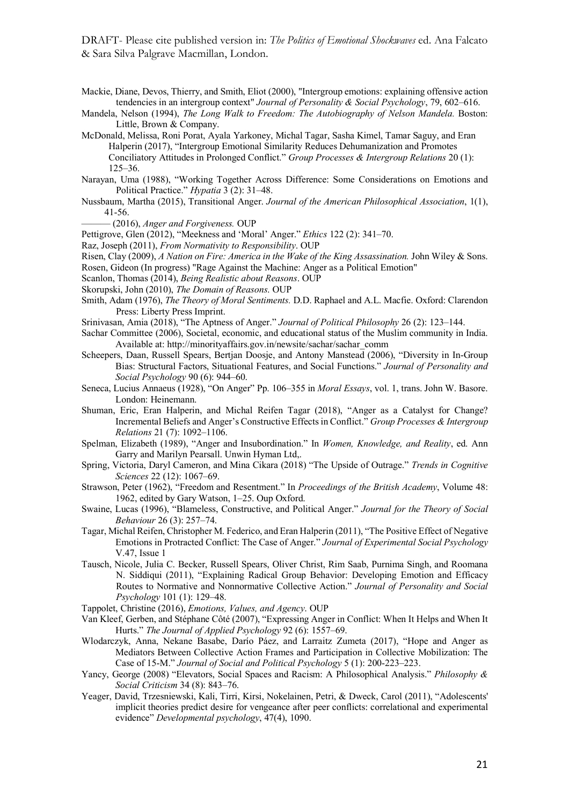- Mackie, Diane, Devos, Thierry, and Smith, Eliot (2000), "Intergroup emotions: explaining offensive action tendencies in an intergroup context" *Journal of Personality & Social Psychology*, 79, 602–616.
- Mandela, Nelson (1994), *The Long Walk to Freedom: The Autobiography of Nelson Mandela.* Boston: Little, Brown & Company.
- McDonald, Melissa, Roni Porat, Ayala Yarkoney, Michal Tagar, Sasha Kimel, Tamar Saguy, and Eran Halperin (2017), "Intergroup Emotional Similarity Reduces Dehumanization and Promotes Conciliatory Attitudes in Prolonged Conflict." *Group Processes & Intergroup Relations* 20 (1): 125–36.
- Narayan, Uma (1988), "Working Together Across Difference: Some Considerations on Emotions and Political Practice." *Hypatia* 3 (2): 31–48.
- Nussbaum, Martha (2015), Transitional Anger. *Journal of the American Philosophical Association*, 1(1), 41-56.
- ——— (2016), *Anger and Forgiveness.* OUP
- Pettigrove, Glen (2012), "Meekness and 'Moral' Anger." *Ethics* 122 (2): 341–70.
- Raz, Joseph (2011), *From Normativity to Responsibility*. OUP

Risen, Clay (2009), *A Nation on Fire: America in the Wake of the King Assassination.* John Wiley & Sons.

- Rosen, Gideon (In progress) "Rage Against the Machine: Anger as a Political Emotion"
- Scanlon, Thomas (2014), *Being Realistic about Reasons*. OUP
- Skorupski, John (2010), *The Domain of Reasons*. OUP
- Smith, Adam (1976), *The Theory of Moral Sentiments.* D.D. Raphael and A.L. Macfie. Oxford: Clarendon Press: Liberty Press Imprint.
- Srinivasan, Amia (2018), "The Aptness of Anger." *Journal of Political Philosophy* 26 (2): 123–144.
- Sachar Committee (2006), Societal, economic, and educational status of the Muslim community in India. Available at: http://minorityaffairs.gov.in/newsite/sachar/sachar\_comm
- Scheepers, Daan, Russell Spears, Bertjan Doosje, and Antony Manstead (2006), "Diversity in In-Group Bias: Structural Factors, Situational Features, and Social Functions." *Journal of Personality and Social Psychology* 90 (6): 944–60.
- Seneca, Lucius Annaeus (1928), "On Anger" Pp. 106–355 in *Moral Essays*, vol. 1, trans. John W. Basore. London: Heinemann.
- Shuman, Eric, Eran Halperin, and Michal Reifen Tagar (2018), "Anger as a Catalyst for Change? Incremental Beliefs and Anger's Constructive Effects in Conflict." *Group Processes & Intergroup Relations* 21 (7): 1092–1106.
- Spelman, Elizabeth (1989), "Anger and Insubordination." In *Women, Knowledge, and Reality*, ed. Ann Garry and Marilyn Pearsall. Unwin Hyman Ltd,.
- Spring, Victoria, Daryl Cameron, and Mina Cikara (2018) "The Upside of Outrage." *Trends in Cognitive Sciences* 22 (12): 1067–69.
- Strawson, Peter (1962), "Freedom and Resentment." In *Proceedings of the British Academy*, Volume 48: 1962, edited by Gary Watson, 1–25. Oup Oxford.
- Swaine, Lucas (1996), "Blameless, Constructive, and Political Anger." *Journal for the Theory of Social Behaviour* 26 (3): 257–74.
- Tagar, Michal Reifen, Christopher M. Federico, and Eran Halperin (2011), "The Positive Effect of Negative Emotions in Protracted Conflict: The Case of Anger." *Journal of Experimental Social Psychology* V.47, Issue 1
- Tausch, Nicole, Julia C. Becker, Russell Spears, Oliver Christ, Rim Saab, Purnima Singh, and Roomana N. Siddiqui (2011), "Explaining Radical Group Behavior: Developing Emotion and Efficacy Routes to Normative and Nonnormative Collective Action." *Journal of Personality and Social Psychology* 101 (1): 129–48.
- Tappolet, Christine (2016), *Emotions, Values, and Agency*. OUP
- Van Kleef, Gerben, and Stéphane Côté (2007), "Expressing Anger in Conflict: When It Helps and When It Hurts." *The Journal of Applied Psychology* 92 (6): 1557–69.
- Wlodarczyk, Anna, Nekane Basabe, Darío Páez, and Larraitz Zumeta (2017), "Hope and Anger as Mediators Between Collective Action Frames and Participation in Collective Mobilization: The Case of 15-M." *Journal of Social and Political Psychology* 5 (1): 200-223–223.
- Yancy, George (2008) "Elevators, Social Spaces and Racism: A Philosophical Analysis." *Philosophy & Social Criticism* 34 (8): 843–76.
- Yeager, David, Trzesniewski, Kali, Tirri, Kirsi, Nokelainen, Petri, & Dweck, Carol (2011), "Adolescents' implicit theories predict desire for vengeance after peer conflicts: correlational and experimental evidence" *Developmental psychology*, 47(4), 1090.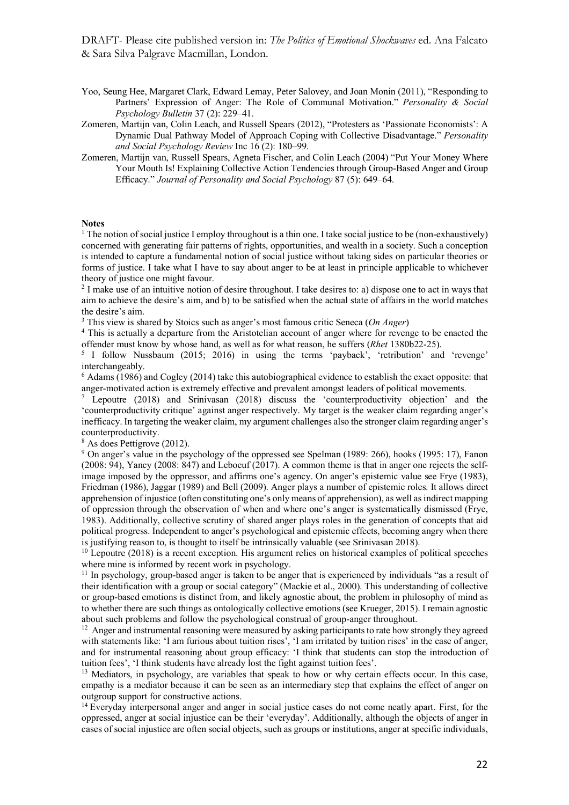- Yoo, Seung Hee, Margaret Clark, Edward Lemay, Peter Salovey, and Joan Monin (2011), "Responding to Partners' Expression of Anger: The Role of Communal Motivation." *Personality & Social Psychology Bulletin* 37 (2): 229–41.
- Zomeren, Martijn van, Colin Leach, and Russell Spears (2012), "Protesters as 'Passionate Economists': A Dynamic Dual Pathway Model of Approach Coping with Collective Disadvantage." *Personality and Social Psychology Review* Inc 16 (2): 180–99.
- Zomeren, Martijn van, Russell Spears, Agneta Fischer, and Colin Leach (2004) "Put Your Money Where Your Mouth Is! Explaining Collective Action Tendencies through Group-Based Anger and Group Efficacy." *Journal of Personality and Social Psychology* 87 (5): 649–64.

#### **Notes**

<sup>1</sup> The notion of social justice I employ throughout is a thin one. I take social justice to be (non-exhaustively) concerned with generating fair patterns of rights, opportunities, and wealth in a society. Such a conception is intended to capture a fundamental notion of social justice without taking sides on particular theories or forms of justice. I take what I have to say about anger to be at least in principle applicable to whichever theory of justice one might favour.

<sup>2</sup> I make use of an intuitive notion of desire throughout. I take desires to: a) dispose one to act in ways that aim to achieve the desire's aim, and b) to be satisfied when the actual state of affairs in the world matches the desire's aim.

<sup>3</sup> This view is shared by Stoics such as anger's most famous critic Seneca (*On Anger*)

<sup>4</sup> This is actually a departure from the Aristotelian account of anger where for revenge to be enacted the offender must know by whose hand, as well as for what reason, he suffers (*Rhet* 1380b22-25).

<sup>5</sup> I follow Nussbaum (2015; 2016) in using the terms 'payback', 'retribution' and 'revenge' interchangeably.

 $6$  Adams (1986) and Cogley (2014) take this autobiographical evidence to establish the exact opposite: that anger-motivated action is extremely effective and prevalent amongst leaders of political movements.

<sup>7</sup> Lepoutre (2018) and Srinivasan (2018) discuss the 'counterproductivity objection' and the 'counterproductivity critique' against anger respectively. My target is the weaker claim regarding anger's inefficacy. In targeting the weaker claim, my argument challenges also the stronger claim regarding anger's counterproductivity.

<sup>8</sup> As does Pettigrove (2012).

<sup>9</sup> On anger's value in the psychology of the oppressed see Spelman (1989: 266), hooks (1995: 17), Fanon (2008: 94), Yancy (2008: 847) and Leboeuf (2017). A common theme is that in anger one rejects the selfimage imposed by the oppressor, and affirms one's agency. On anger's epistemic value see Frye (1983), Friedman (1986), Jaggar (1989) and Bell (2009). Anger plays a number of epistemic roles. It allows direct apprehension of injustice (often constituting one's only means of apprehension), as well as indirect mapping of oppression through the observation of when and where one's anger is systematically dismissed (Frye, 1983). Additionally, collective scrutiny of shared anger plays roles in the generation of concepts that aid political progress. Independent to anger's psychological and epistemic effects, becoming angry when there is justifying reason to, is thought to itself be intrinsically valuable (see Srinivasan 2018).

 $10$  Lepoutre (2018) is a recent exception. His argument relies on historical examples of political speeches where mine is informed by recent work in psychology.

<sup>11</sup> In psychology, group-based anger is taken to be anger that is experienced by individuals "as a result of their identification with a group or social category" (Mackie et al., 2000). This understanding of collective or group-based emotions is distinct from, and likely agnostic about, the problem in philosophy of mind as to whether there are such things as ontologically collective emotions (see Krueger, 2015). I remain agnostic about such problems and follow the psychological construal of group-anger throughout.

<sup>12</sup> Anger and instrumental reasoning were measured by asking participants to rate how strongly they agreed with statements like: 'I am furious about tuition rises', 'I am irritated by tuition rises' in the case of anger, and for instrumental reasoning about group efficacy: 'I think that students can stop the introduction of tuition fees', 'I think students have already lost the fight against tuition fees'.

<sup>13</sup> Mediators, in psychology, are variables that speak to how or why certain effects occur. In this case, empathy is a mediator because it can be seen as an intermediary step that explains the effect of anger on outgroup support for constructive actions.

<sup>14</sup> Everyday interpersonal anger and anger in social justice cases do not come neatly apart. First, for the oppressed, anger at social injustice can be their 'everyday'. Additionally, although the objects of anger in cases of social injustice are often social objects, such as groups or institutions, anger at specific individuals,